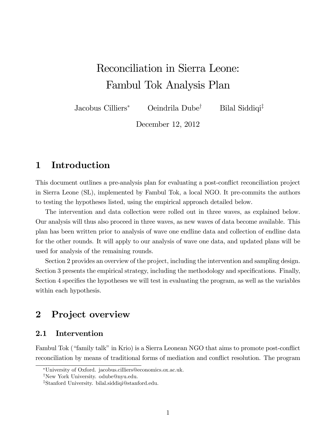# Reconciliation in Sierra Leone: Fambul Tok Analysis Plan

Jacobus Cilliers<sup>\*</sup> Oeindrila Dube<sup>†</sup> Bilal Siddiqi<sup>‡</sup>

December 12, 2012

# 1 Introduction

This document outlines a pre-analysis plan for evaluating a post-conflict reconciliation project in Sierra Leone (SL), implemented by Fambul Tok, a local NGO. It pre-commits the authors to testing the hypotheses listed, using the empirical approach detailed below.

The intervention and data collection were rolled out in three waves, as explained below. Our analysis will thus also proceed in three waves, as new waves of data become available. This plan has been written prior to analysis of wave one endline data and collection of endline data for the other rounds. It will apply to our analysis of wave one data, and updated plans will be used for analysis of the remaining rounds.

Section 2 provides an overview of the project, including the intervention and sampling design. Section 3 presents the empirical strategy, including the methodology and specifications. Finally, Section 4 specifies the hypotheses we will test in evaluating the program, as well as the variables within each hypothesis.

# 2 Project overview

## 2.1 Intervention

Fambul Tok ("family talk" in Krio) is a Sierra Leonean NGO that aims to promote post-conflict reconciliation by means of traditional forms of mediation and conflict resolution. The program

University of Oxford. jacobus.cilliers@economics.ox.ac.uk.

<sup>&</sup>lt;sup>†</sup>New York University. odube@nyu.edu.

<sup>&</sup>lt;sup>‡</sup>Stanford University. bilal.siddiqi@stanford.edu.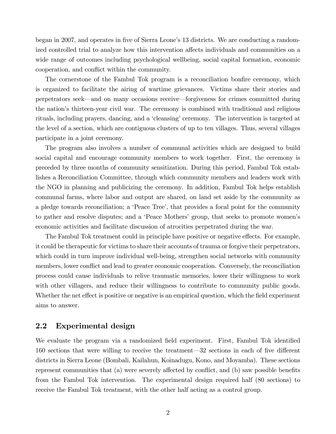began in 2007, and operates in five of Sierra Leone's 13 districts. We are conducting a randomized controlled trial to analyze how this intervention affects individuals and communities on a wide range of outcomes including psychological wellbeing, social capital formation, economic cooperation, and conflict within the community.

The cornerstone of the Fambul Tok program is a reconciliation bonfire ceremony, which is organized to facilitate the airing of wartime grievances. Victims share their stories and perpetrators seek—and on many occasions receive—forgiveness for crimes committed during the nationís thirteen-year civil war. The ceremony is combined with traditional and religious rituals, including prayers, dancing, and a 'cleansing' ceremony. The intervention is targeted at the level of a section, which are contiguous clusters of up to ten villages. Thus, several villages participate in a joint ceremony.

The program also involves a number of communal activities which are designed to build social capital and encourage community members to work together. First, the ceremony is preceded by three months of community sensitization. During this period, Fambul Tok establishes a Reconciliation Committee, through which community members and leaders work with the NGO in planning and publicizing the ceremony. In addition, Fambul Tok helps establish communal farms, where labor and output are shared, on land set aside by the community as a pledge towards reconciliation; a 'Peace Tree', that provides a focal point for the community to gather and resolve disputes; and a 'Peace Mothers' group, that seeks to promote women's economic activities and facilitate discussion of atrocities perpetrated during the war.

The Fambul Tok treatment could in principle have positive or negative effects. For example, it could be therapeutic for victims to share their accounts of trauma or forgive their perpetrators, which could in turn improve individual well-being, strengthen social networks with community members, lower conflict and lead to greater economic cooperation. Conversely, the reconciliation process could cause individuals to relive traumatic memories, lower their willingness to work with other villagers, and reduce their willingness to contribute to community public goods. Whether the net effect is positive or negative is an empirical question, which the field experiment aims to answer.

### 2.2 Experimental design

We evaluate the program via a randomized field experiment. First, Fambul Tok identified 160 sections that were willing to receive the treatment—32 sections in each of five different districts in Sierra Leone (Bombali, Kailahun, Koinadugu, Kono, and Moyamba). These sections represent communities that  $(a)$  were severely affected by conflict, and  $(b)$  saw possible benefits from the Fambul Tok intervention. The experimental design required half (80 sections) to receive the Fambul Tok treatment, with the other half acting as a control group.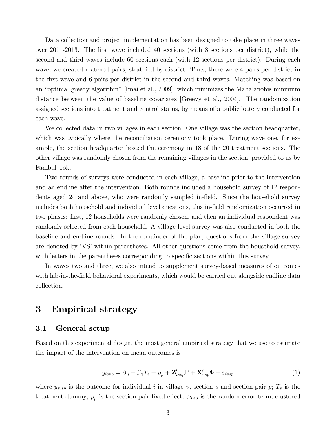Data collection and project implementation has been designed to take place in three waves over 2011-2013. The first wave included 40 sections (with 8 sections per district), while the second and third waves include 60 sections each (with 12 sections per district). During each wave, we created matched pairs, stratified by district. Thus, there were 4 pairs per district in the first wave and 6 pairs per district in the second and third waves. Matching was based on an "optimal greedy algorithm" [Imai et al., 2009], which minimizes the Mahalanobis minimum distance between the value of baseline covariates [Greevy et al., 2004]. The randomization assigned sections into treatment and control status, by means of a public lottery conducted for each wave.

We collected data in two villages in each section. One village was the section headquarter, which was typically where the reconciliation ceremony took place. During wave one, for example, the section headquarter hosted the ceremony in 18 of the 20 treatment sections. The other village was randomly chosen from the remaining villages in the section, provided to us by Fambul Tok.

Two rounds of surveys were conducted in each village, a baseline prior to the intervention and an endline after the intervention. Both rounds included a household survey of 12 respondents aged 24 and above, who were randomly sampled in-field. Since the household survey includes both household and individual level questions, this in-field randomization occurred in two phases: first, 12 households were randomly chosen, and then an individual respondent was randomly selected from each household. A village-level survey was also conducted in both the baseline and endline rounds. In the remainder of the plan, questions from the village survey are denoted by 'VS' within parentheses. All other questions come from the household survey, with letters in the parentheses corresponding to specific sections within this survey.

In waves two and three, we also intend to supplement survey-based measures of outcomes with lab-in-the-field behavioral experiments, which would be carried out alongside endline data collection.

# 3 Empirical strategy

### 3.1 General setup

Based on this experimental design, the most general empirical strategy that we use to estimate the impact of the intervention on mean outcomes is

$$
y_{isvp} = \beta_0 + \beta_1 T_s + \rho_p + \mathbf{Z}'_{ivsp} \Gamma + \mathbf{X}'_{vsp} \Phi + \varepsilon_{ivsp}
$$
 (1)

where  $y_{i \nu s p}$  is the outcome for individual i in village v, section s and section-pair p;  $T_s$  is the treatment dummy;  $\rho_p$  is the section-pair fixed effect;  $\varepsilon_{ivsp}$  is the random error term, clustered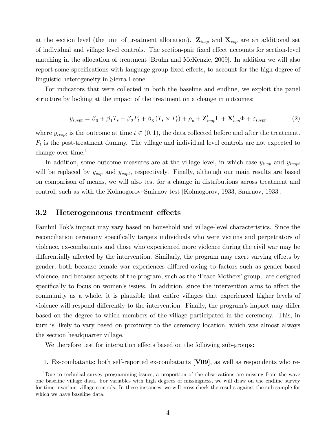at the section level (the unit of treatment allocation).  $\mathbf{Z}_{ivsp}$  and  $\mathbf{X}_{vsp}$  are an additional set of individual and village level controls. The section-pair fixed effect accounts for section-level matching in the allocation of treatment [Bruhn and McKenzie, 2009]. In addition we will also report some specifications with language-group fixed effects, to account for the high degree of linguistic heterogeneity in Sierra Leone.

For indicators that were collected in both the baseline and endline, we exploit the panel structure by looking at the impact of the treatment on a change in outcomes:

$$
y_{ivspt} = \beta_0 + \beta_1 T_s + \beta_2 P_t + \beta_3 (T_s \times P_t) + \rho_p + \mathbf{Z}'_{ivsp} \Gamma + \mathbf{X}'_{vsp} \Phi + \varepsilon_{ivspt}
$$
(2)

where  $y_{ivspt}$  is the outcome at time  $t \in (0, 1)$ , the data collected before and after the treatment.  $P_t$  is the post-treatment dummy. The village and individual level controls are not expected to change over time. $<sup>1</sup>$ </sup>

In addition, some outcome measures are at the village level, in which case  $y_{ivsp}$  and  $y_{ivspt}$ will be replaced by  $y_{vsp}$  and  $y_{vspt}$ , respectively. Finally, although our main results are based on comparison of means, we will also test for a change in distributions across treatment and control, such as with the Kolmogorov–Smirnov test [Kolmogorov, 1933, Smirnov, 1933].

#### 3.2 Heterogeneous treatment effects

Fambul Tokís impact may vary based on household and village-level characteristics. Since the reconciliation ceremony specifically targets individuals who were victims and perpetrators of violence, ex-combatants and those who experienced more violence during the civil war may be differentially affected by the intervention. Similarly, the program may exert varying effects by gender, both because female war experiences differed owing to factors such as gender-based violence, and because aspects of the program, such as the 'Peace Mothers' group, are designed specifically to focus on women's issues. In addition, since the intervention aims to affect the community as a whole, it is plausible that entire villages that experienced higher levels of violence will respond differently to the intervention. Finally, the program's impact may differ based on the degree to which members of the village participated in the ceremony. This, in turn is likely to vary based on proximity to the ceremony location, which was almost always the section headquarter village.

We therefore test for interaction effects based on the following sub-groups:

1. Ex-combatants: both self-reported ex-combatants [V09], as well as respondents who re-

<sup>&</sup>lt;sup>1</sup>Due to technical survey programming issues, a proportion of the observations are missing from the wave one baseline village data. For variables with high degrees of missingness, we will draw on the endline survey for time-invariant village controls. In these instances, we will cross-check the results against the sub-sample for which we have baseline data.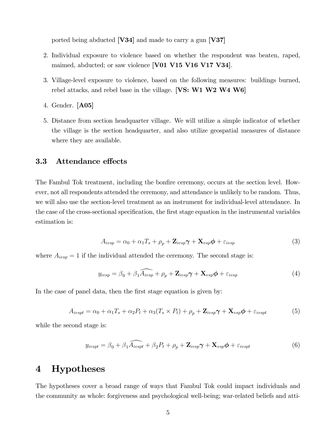ported being abducted [V34] and made to carry a gun [V37]

- 2. Individual exposure to violence based on whether the respondent was beaten, raped, maimed, abducted; or saw violence [V01 V15 V16 V17 V34].
- 3. Village-level exposure to violence, based on the following measures: buildings burned, rebel attacks, and rebel base in the village. [VS: W1 W2 W4 W6]
- 4. Gender. [A05]
- 5. Distance from section headquarter village. We will utilize a simple indicator of whether the village is the section headquarter, and also utilize geospatial measures of distance where they are available.

#### **3.3** Attendance effects

The Fambul Tok treatment, including the bonfire ceremony, occurs at the section level. However, not all respondents attended the ceremony, and attendance is unlikely to be random. Thus, we will also use the section-level treatment as an instrument for individual-level attendance. In the case of the cross-sectional specification, the first stage equation in the instrumental variables estimation is:

$$
A_{ivsp} = \alpha_0 + \alpha_1 T_s + \rho_p + \mathbf{Z}_{ivsp} \boldsymbol{\gamma} + \mathbf{X}_{vsp} \boldsymbol{\phi} + \varepsilon_{ivsp}
$$
\n(3)

where  $A_{i \nu s p} = 1$  if the individual attended the ceremony. The second stage is:

$$
y_{ivsp} = \beta_0 + \beta_1 \widehat{A_{ivsp}} + \rho_p + \mathbf{Z}_{ivsp} \boldsymbol{\gamma} + \mathbf{X}_{vsp} \boldsymbol{\phi} + \varepsilon_{ivsp}
$$
(4)

In the case of panel data, then the first stage equation is given by:

$$
A_{ivspt} = \alpha_0 + \alpha_1 T_s + \alpha_2 P_t + \alpha_3 (T_s \times P_t) + \rho_p + \mathbf{Z}_{ivsp} \boldsymbol{\gamma} + \mathbf{X}_{vsp} \boldsymbol{\phi} + \varepsilon_{ivspt} \tag{5}
$$

while the second stage is:

$$
y_{ivspt} = \beta_0 + \beta_1 \widehat{A_{ivspt}} + \beta_2 P_t + \rho_p + \mathbf{Z}_{ivsp} \boldsymbol{\gamma} + \mathbf{X}_{vsp} \boldsymbol{\phi} + \varepsilon_{ivspt}
$$
(6)

# 4 Hypotheses

The hypotheses cover a broad range of ways that Fambul Tok could impact individuals and the community as whole: forgiveness and psychological well-being; war-related beliefs and atti-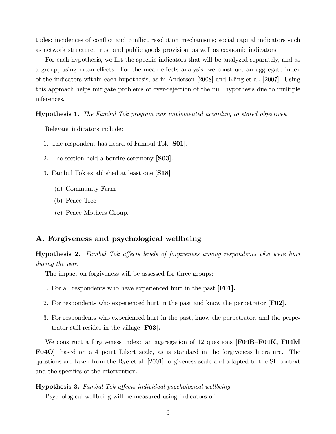tudes; incidences of conflict and conflict resolution mechanisms; social capital indicators such as network structure, trust and public goods provision; as well as economic indicators.

For each hypothesis, we list the specific indicators that will be analyzed separately, and as a group, using mean effects. For the mean effects analysis, we construct an aggregate index of the indicators within each hypothesis, as in Anderson [2008] and Kling et al. [2007]. Using this approach helps mitigate problems of over-rejection of the null hypothesis due to multiple inferences.

Hypothesis 1. The Fambul Tok program was implemented according to stated objectives.

Relevant indicators include:

- 1. The respondent has heard of Fambul Tok [S01].
- 2. The section held a bonfire ceremony [S03].
- 3. Fambul Tok established at least one [S18]
	- (a) Community Farm
	- (b) Peace Tree
	- (c) Peace Mothers Group.

### A. Forgiveness and psychological wellbeing

**Hypothesis 2.** Fambul Tok affects levels of forgiveness among respondents who were hurt during the war.

The impact on forgiveness will be assessed for three groups:

- 1. For all respondents who have experienced hurt in the past [F01].
- 2. For respondents who experienced hurt in the past and know the perpetrator [F02].
- 3. For respondents who experienced hurt in the past, know the perpetrator, and the perpetrator still resides in the village [F03].

We construct a forgiveness index: an aggregation of 12 questions  $[{\bf F04B-F04K}, {\bf F04M}]$ F04O], based on a 4 point Likert scale, as is standard in the forgiveness literature. The questions are taken from the Rye et al. [2001] forgiveness scale and adapted to the SL context and the specifics of the intervention.

#### **Hypothesis 3.** Fambul Tok affects individual psychological wellbeing.

Psychological wellbeing will be measured using indicators of: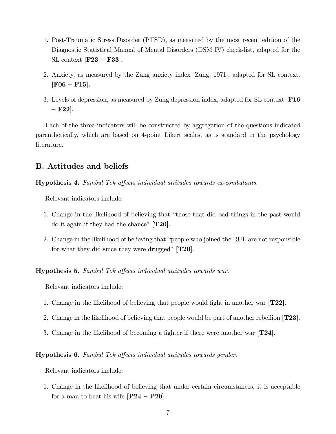- 1. Post-Traumatic Stress Disorder (PTSD), as measured by the most recent edition of the Diagnostic Statistical Manual of Mental Disorders (DSM IV) check-list, adapted for the SL context  $\textbf{[F23 - F33]}.$
- 2. Anxiety, as measured by the Zung anxiety index [Zung, 1971], adapted for SL context.  $[{\rm F06-F15}].$
- 3. Levels of depression, as measured by Zung depression index, adapted for SL context [F16  $-$  F22].

Each of the three indicators will be constructed by aggregation of the questions indicated parenthetically, which are based on 4-point Likert scales, as is standard in the psychology literature.

# B. Attitudes and beliefs

Hypothesis 4. Fambul Tok affects individual attitudes towards ex-combatants.

Relevant indicators include:

- 1. Change in the likelihood of believing that "those that did bad things in the past would do it again if they had the chance"  $[T20]$ .
- 2. Change in the likelihood of believing that "people who joined the RUF are not responsible for what they did since they were drugged"  $[T20]$ .

**Hypothesis 5.** Fambul Tok affects individual attitudes towards war.

Relevant indicators include:

- 1. Change in the likelihood of believing that people would fight in another war  $[T22]$ .
- 2. Change in the likelihood of believing that people would be part of another rebellion [T23].
- 3. Change in the likelihood of becoming a fighter if there were another war  $\mathbf{T24}$ .

#### **Hypothesis 6.** Fambul Tok affects individual attitudes towards gender.

Relevant indicators include:

1. Change in the likelihood of believing that under certain circumstances, it is acceptable for a man to beat his wife  $[P24 - P29]$ .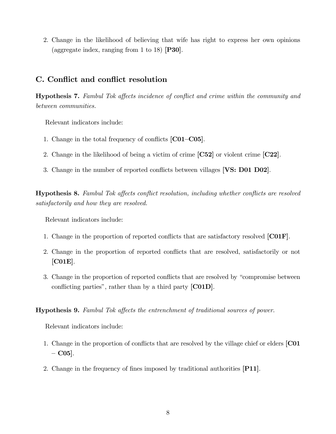2. Change in the likelihood of believing that wife has right to express her own opinions (aggregate index, ranging from 1 to 18)  $[P30]$ .

# C. Conflict and conflict resolution

**Hypothesis 7.** Fambul Tok affects incidence of conflict and crime within the community and between communities.

Relevant indicators include:

- 1. Change in the total frequency of conflicts  $[C01-C05]$ .
- 2. Change in the likelihood of being a victim of crime [C52] or violent crime [C22].
- 3. Change in the number of reported conflicts between villages [VS: D01 D02].

**Hypothesis 8.** Fambul Tok affects conflict resolution, including whether conflicts are resolved satisfactorily and how they are resolved.

Relevant indicators include:

- 1. Change in the proportion of reported conflicts that are satisfactory resolved  $[CO1F]$ .
- 2. Change in the proportion of reported conflicts that are resolved, satisfactorily or not [C01E].
- 3. Change in the proportion of reported conflicts that are resolved by "compromise between conflicting parties", rather than by a third party  $[CO1D]$ .

Hypothesis 9. Fambul Tok affects the entrenchment of traditional sources of power.

- 1. Change in the proportion of conflicts that are resolved by the village chief or elders [C01]  $-$  C05].
- 2. Change in the frequency of fines imposed by traditional authorities [P11].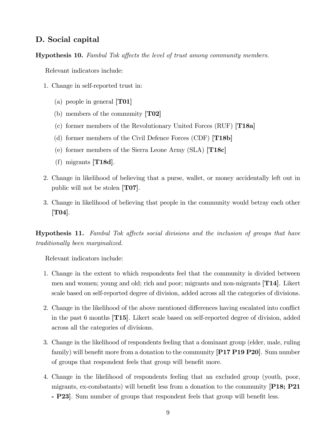## D. Social capital

**Hypothesis 10.** Fambul Tok affects the level of trust among community members.

Relevant indicators include:

- 1. Change in self-reported trust in:
	- (a) people in general  $[T01]$
	- (b) members of the community  $[T02]$
	- (c) former members of the Revolutionary United Forces (RUF) [T18a]
	- (d) former members of the Civil Defence Forces (CDF) [T18b]
	- (e) former members of the Sierra Leone Army  $(SLA)$  [T18c]
	- $(f)$  migrants [T18d].
- 2. Change in likelihood of believing that a purse, wallet, or money accidentally left out in public will not be stolen [T07].
- 3. Change in likelihood of believing that people in the community would betray each other [T04].

**Hypothesis 11.** Fambul Tok affects social divisions and the inclusion of groups that have traditionally been marginalized.

- 1. Change in the extent to which respondents feel that the community is divided between men and women; young and old; rich and poor; migrants and non-migrants [T14]. Likert scale based on self-reported degree of division, added across all the categories of divisions.
- 2. Change in the likelihood of the above mentioned differences having escalated into conflict in the past 6 months [T15]. Likert scale based on self-reported degree of division, added across all the categories of divisions.
- 3. Change in the likelihood of respondents feeling that a dominant group (elder, male, ruling family) will benefit more from a donation to the community  $\left[ \mathbf{P17 P19 P20} \right]$ . Sum number of groups that respondent feels that group will benefit more.
- 4. Change in the likelihood of respondents feeling that an excluded group (youth, poor, migrants, ex-combatants) will benefit less from a donation to the community  $[P18; P21]$ - P23. Sum number of groups that respondent feels that group will benefit less.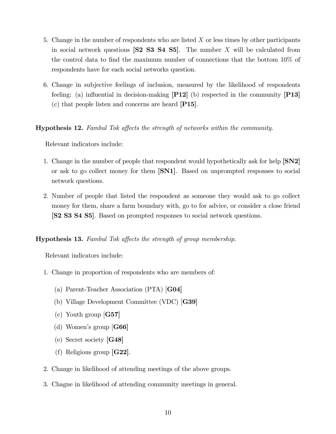- 5. Change in the number of respondents who are listed  $X$  or less times by other participants in social network questions  $\begin{bmatrix} \mathbf{S2} & \mathbf{S3} & \mathbf{S4} & \mathbf{S5} \end{bmatrix}$ . The number X will be calculated from the control data to find the maximum number of connections that the bottom  $10\%$  of respondents have for each social networks question.
- 6. Change in subjective feelings of inclusion, measured by the likelihood of respondents feeling: (a) influential in decision-making  $\left[\mathbf{P12}\right]$  (b) respected in the community  $\left[\mathbf{P13}\right]$ (c) that people listen and concerns are heard [P15].

#### **Hypothesis 12.** Fambul Tok affects the strength of networks within the community.

Relevant indicators include:

- 1. Change in the number of people that respondent would hypothetically ask for help [SN2] or ask to go collect money for them [SN1]. Based on unprompted responses to social network questions.
- 2. Number of people that listed the respondent as someone they would ask to go collect money for them, share a farm boundary with, go to for advice, or consider a close friend [S2 S3 S4 S5]. Based on prompted responses to social network questions.

#### **Hypothesis 13.** Fambul Tok affects the strength of group membership.

- 1. Change in proportion of respondents who are members of:
	- (a) Parent-Teacher Association (PTA) [G04]
	- (b) Village Development Committee (VDC) [G39]
	- (c) Youth group [G57]
	- (d) Women's group  $[G66]$
	- (e) Secret society [G48]
	- (f) Religious group [G22].
- 2. Change in likelihood of attending meetings of the above groups.
- 3. Chagne in likelihood of attending community meetings in general.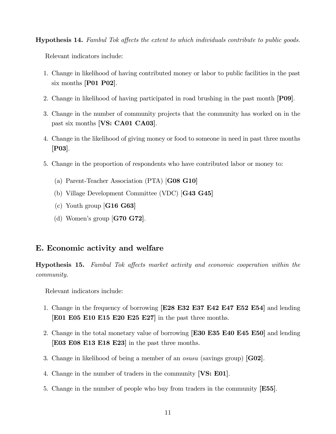**Hypothesis 14.** Fambul Tok affects the extent to which individuals contribute to public goods.

Relevant indicators include:

- 1. Change in likelihood of having contributed money or labor to public facilities in the past six months [P01 P02].
- 2. Change in likelihood of having participated in road brushing in the past month [P09].
- 3. Change in the number of community projects that the community has worked on in the past six months [VS: CA01 CA03].
- 4. Change in the likelihood of giving money or food to someone in need in past three months [P03].
- 5. Change in the proportion of respondents who have contributed labor or money to:
	- (a) Parent-Teacher Association (PTA) [G08 G10]
	- (b) Village Development Committee (VDC) [G43 G45]
	- (c) Youth group  $[G16 \ G63]$
	- (d) Women's group  $[G70 G72]$ .

### E. Economic activity and welfare

Hypothesis 15. Fambul Tok affects market activity and economic cooperation within the community.

- 1. Change in the frequency of borrowing [E28 E32 E37 E42 E47 E52 E54] and lending [E01 E05 E10 E15 E20 E25 E27] in the past three months.
- 2. Change in the total monetary value of borrowing [E30 E35 E40 E45 E50] and lending [E03 E08 E13 E18 E23] in the past three months.
- 3. Change in likelihood of being a member of an *osusu* (savings group)  $[G02]$ .
- 4. Change in the number of traders in the community [VS: E01].
- 5. Change in the number of people who buy from traders in the community [E55].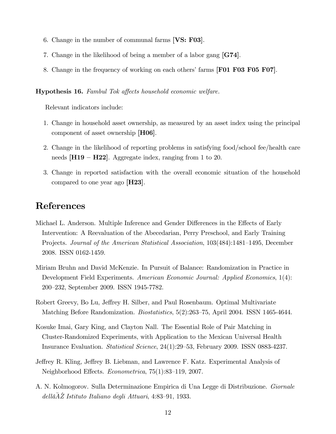- 6. Change in the number of communal farms  $[VS: F03]$ .
- 7. Change in the likelihood of being a member of a labor gang [G74].
- 8. Change in the frequency of working on each others' farms [F01 F03 F05 F07].

#### Hypothesis 16. Fambul Tok affects household economic welfare.

Relevant indicators include:

- 1. Change in household asset ownership, as measured by an asset index using the principal component of asset ownership [H06].
- 2. Change in the likelihood of reporting problems in satisfying food/school fee/health care needs  $[H19 - H22]$ . Aggregate index, ranging from 1 to 20.
- 3. Change in reported satisfaction with the overall economic situation of the household compared to one year ago  $|H23|$ .

# References

- Michael L. Anderson. Multiple Inference and Gender Differences in the Effects of Early Intervention: A Reevaluation of the Abecedarian, Perry Preschool, and Early Training Projects. Journal of the American Statistical Association, 103(484):1481–1495, December 2008. ISSN 0162-1459.
- Miriam Bruhn and David McKenzie. In Pursuit of Balance: Randomization in Practice in Development Field Experiments. American Economic Journal: Applied Economics, 1(4): 200–232, September 2009. ISSN 1945-7782.
- Robert Greevy, Bo Lu, Jeffrey H. Silber, and Paul Rosenbaum. Optimal Multivariate Matching Before Randomization. *Biostatistics*, 5(2):263–75, April 2004. ISSN 1465-4644.
- Kosuke Imai, Gary King, and Clayton Nall. The Essential Role of Pair Matching in Cluster-Randomized Experiments, with Application to the Mexican Universal Health Insurance Evaluation. Statistical Science,  $24(1):29-53$ , February 2009. ISSN 0883-4237.
- Jeffrey R. Kling, Jeffrey B. Liebman, and Lawrence F. Katz. Experimental Analysis of Neighborhood Effects.  $Econometrica$ ,  $75(1):83-119$ , 2007.
- A. N. Kolmogorov. Sulla Determinazione Empirica di Una Legge di Distribuzione. Giornale  $dell\tilde{a}A\tilde{Z}$  Istituto Italiano degli Attuari, 4:83-91, 1933.